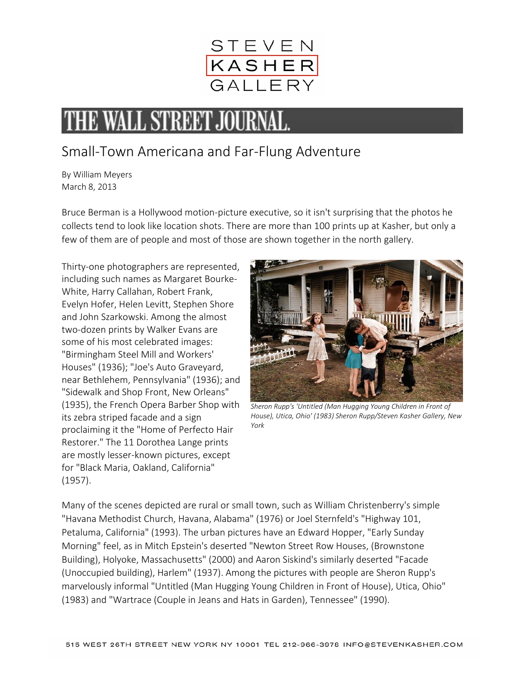

## **THE WALL STREET JOUR**

## Small-Town Americana and Far-Flung Adventure

By William Meyers March 8, 2013

Bruce Berman is a Hollywood motion-picture executive, so it isn't surprising that the photos he collects tend to look like location shots. There are more than 100 prints up at Kasher, but only a few of them are of people and most of those are shown together in the north gallery.

Thirty-one photographers are represented, including such names as Margaret Bourke-White, Harry Callahan, Robert Frank, Evelyn Hofer, Helen Levitt, Stephen Shore and John Szarkowski. Among the almost two-dozen prints by Walker Evans are some of his most celebrated images: "Birmingham Steel Mill and Workers' Houses" (1936); "Joe's Auto Graveyard, near Bethlehem, Pennsylvania" (1936); and "Sidewalk and Shop Front, New Orleans" (1935), the French Opera Barber Shop with its zebra striped facade and a sign proclaiming it the "Home of Perfecto Hair Restorer." The 11 Dorothea Lange prints are mostly lesser-known pictures, except for "Black Maria, Oakland, California" (1957).



*Sheron Rupp's 'Untitled (Man Hugging Young Children in Front of House), Utica, Ohio' (1983) Sheron Rupp/Steven Kasher Gallery, New York*

Many of the scenes depicted are rural or small town, such as William Christenberry's simple "Havana Methodist Church, Havana, Alabama" (1976) or Joel Sternfeld's "Highway 101, Petaluma, California" (1993). The urban pictures have an Edward Hopper, "Early Sunday Morning" feel, as in Mitch Epstein's deserted "Newton Street Row Houses, (Brownstone Building), Holyoke, Massachusetts" (2000) and Aaron Siskind's similarly deserted "Facade (Unoccupied building), Harlem" (1937). Among the pictures with people are Sheron Rupp's marvelously informal "Untitled (Man Hugging Young Children in Front of House), Utica, Ohio" (1983) and "Wartrace (Couple in Jeans and Hats in Garden), Tennessee" (1990).